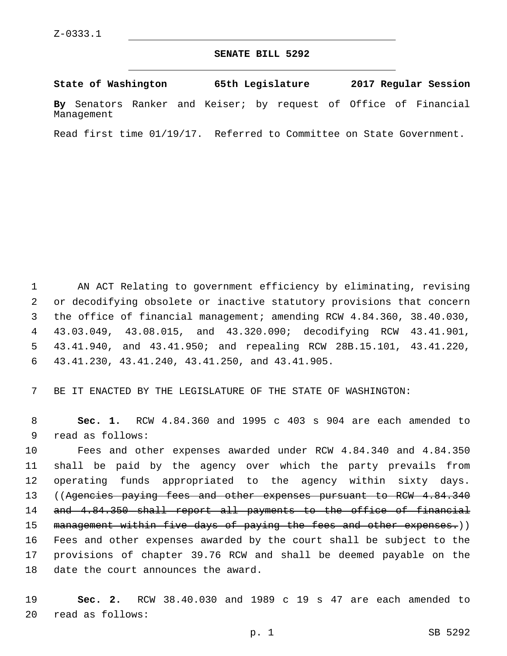## **SENATE BILL 5292**

**State of Washington 65th Legislature 2017 Regular Session By** Senators Ranker and Keiser; by request of Office of Financial Management

Read first time 01/19/17. Referred to Committee on State Government.

 AN ACT Relating to government efficiency by eliminating, revising or decodifying obsolete or inactive statutory provisions that concern the office of financial management; amending RCW 4.84.360, 38.40.030, 43.03.049, 43.08.015, and 43.320.090; decodifying RCW 43.41.901, 43.41.940, and 43.41.950; and repealing RCW 28B.15.101, 43.41.220, 43.41.230, 43.41.240, 43.41.250, and 43.41.905.6

7 BE IT ENACTED BY THE LEGISLATURE OF THE STATE OF WASHINGTON:

8 **Sec. 1.** RCW 4.84.360 and 1995 c 403 s 904 are each amended to 9 read as follows:

 Fees and other expenses awarded under RCW 4.84.340 and 4.84.350 shall be paid by the agency over which the party prevails from operating funds appropriated to the agency within sixty days. 13 ((Agencies paying fees and other expenses pursuant to RCW 4.84.340 and 4.84.350 shall report all payments to the office of financial 15 management within five days of paying the fees and other expenses.)) Fees and other expenses awarded by the court shall be subject to the provisions of chapter 39.76 RCW and shall be deemed payable on the 18 date the court announces the award.

19 **Sec. 2.** RCW 38.40.030 and 1989 c 19 s 47 are each amended to read as follows:20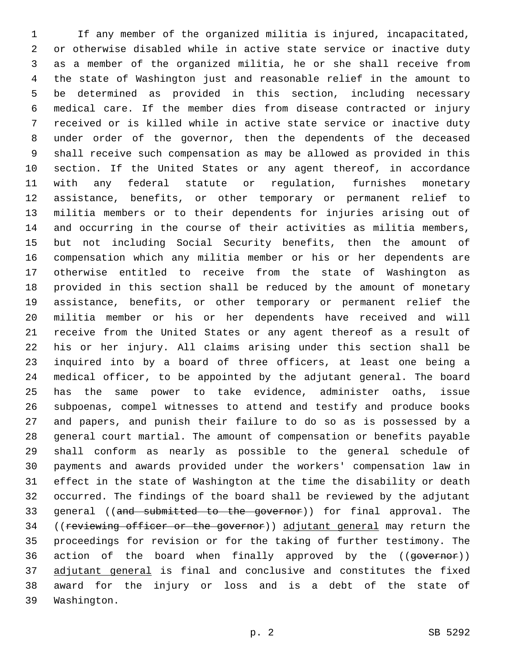If any member of the organized militia is injured, incapacitated, or otherwise disabled while in active state service or inactive duty as a member of the organized militia, he or she shall receive from the state of Washington just and reasonable relief in the amount to be determined as provided in this section, including necessary medical care. If the member dies from disease contracted or injury received or is killed while in active state service or inactive duty under order of the governor, then the dependents of the deceased shall receive such compensation as may be allowed as provided in this section. If the United States or any agent thereof, in accordance with any federal statute or regulation, furnishes monetary assistance, benefits, or other temporary or permanent relief to militia members or to their dependents for injuries arising out of and occurring in the course of their activities as militia members, but not including Social Security benefits, then the amount of compensation which any militia member or his or her dependents are otherwise entitled to receive from the state of Washington as provided in this section shall be reduced by the amount of monetary assistance, benefits, or other temporary or permanent relief the militia member or his or her dependents have received and will receive from the United States or any agent thereof as a result of his or her injury. All claims arising under this section shall be inquired into by a board of three officers, at least one being a medical officer, to be appointed by the adjutant general. The board has the same power to take evidence, administer oaths, issue subpoenas, compel witnesses to attend and testify and produce books and papers, and punish their failure to do so as is possessed by a general court martial. The amount of compensation or benefits payable shall conform as nearly as possible to the general schedule of payments and awards provided under the workers' compensation law in effect in the state of Washington at the time the disability or death occurred. The findings of the board shall be reviewed by the adjutant 33 general ((and submitted to the governor)) for final approval. The 34 ((reviewing officer or the governor)) adjutant general may return the proceedings for revision or for the taking of further testimony. The 36 action of the board when finally approved by the ((governor)) 37 adjutant general is final and conclusive and constitutes the fixed award for the injury or loss and is a debt of the state of 39 Washington.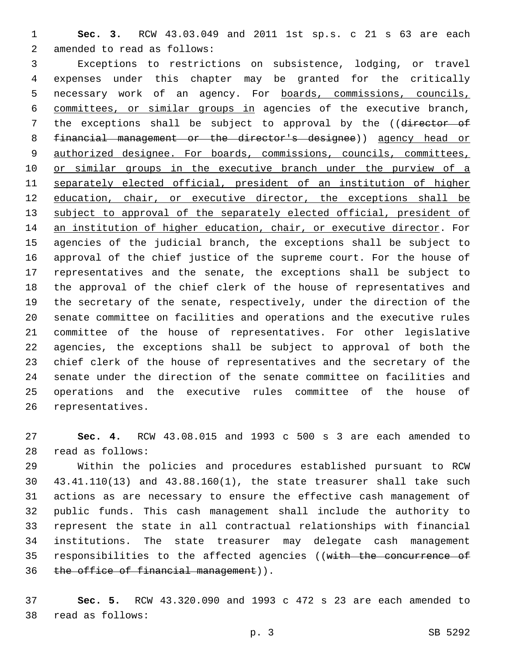**Sec. 3.** RCW 43.03.049 and 2011 1st sp.s. c 21 s 63 are each 2 amended to read as follows:

 Exceptions to restrictions on subsistence, lodging, or travel expenses under this chapter may be granted for the critically necessary work of an agency. For boards, commissions, councils, committees, or similar groups in agencies of the executive branch, 7 the exceptions shall be subject to approval by the ((director of financial management or the director's designee)) agency head or authorized designee. For boards, commissions, councils, committees, 10 or similar groups in the executive branch under the purview of a 11 separately elected official, president of an institution of higher education, chair, or executive director, the exceptions shall be subject to approval of the separately elected official, president of an institution of higher education, chair, or executive director. For agencies of the judicial branch, the exceptions shall be subject to approval of the chief justice of the supreme court. For the house of representatives and the senate, the exceptions shall be subject to the approval of the chief clerk of the house of representatives and the secretary of the senate, respectively, under the direction of the senate committee on facilities and operations and the executive rules committee of the house of representatives. For other legislative agencies, the exceptions shall be subject to approval of both the chief clerk of the house of representatives and the secretary of the senate under the direction of the senate committee on facilities and operations and the executive rules committee of the house of 26 representatives.

 **Sec. 4.** RCW 43.08.015 and 1993 c 500 s 3 are each amended to read as follows:28

 Within the policies and procedures established pursuant to RCW 43.41.110(13) and 43.88.160(1), the state treasurer shall take such actions as are necessary to ensure the effective cash management of public funds. This cash management shall include the authority to represent the state in all contractual relationships with financial institutions. The state treasurer may delegate cash management 35 responsibilities to the affected agencies ((with the concurrence of 36 the office of financial management)).

 **Sec. 5.** RCW 43.320.090 and 1993 c 472 s 23 are each amended to 38 read as follows: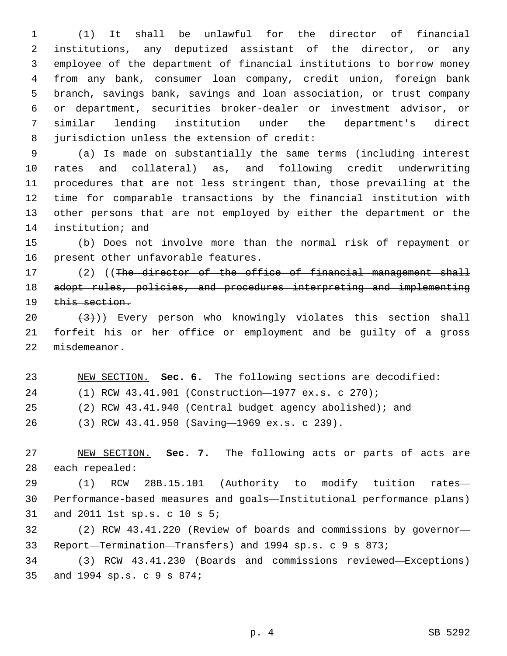(1) It shall be unlawful for the director of financial institutions, any deputized assistant of the director, or any employee of the department of financial institutions to borrow money from any bank, consumer loan company, credit union, foreign bank branch, savings bank, savings and loan association, or trust company or department, securities broker-dealer or investment advisor, or similar lending institution under the department's direct 8 jurisdiction unless the extension of credit:

 (a) Is made on substantially the same terms (including interest rates and collateral) as, and following credit underwriting procedures that are not less stringent than, those prevailing at the time for comparable transactions by the financial institution with other persons that are not employed by either the department or the 14 institution; and

 (b) Does not involve more than the normal risk of repayment or 16 present other unfavorable features.

 (2) ((The director of the office of financial management shall adopt rules, policies, and procedures interpreting and implementing 19 this section.

 $(3)$ )) Every person who knowingly violates this section shall forfeit his or her office or employment and be guilty of a gross 22 misdemeanor.

 NEW SECTION. **Sec. 6.** The following sections are decodified: (1) RCW 43.41.901 (Construction—1977 ex.s. c 270);

- (2) RCW 43.41.940 (Central budget agency abolished); and
- (3) RCW 43.41.950 (Saving—1969 ex.s. c 239).26

 NEW SECTION. **Sec. 7.** The following acts or parts of acts are each repealed:

 (1) RCW 28B.15.101 (Authority to modify tuition rates— Performance-based measures and goals—Institutional performance plans) 31 and 2011 1st sp.s. c 10 s 5;

 (2) RCW 43.41.220 (Review of boards and commissions by governor— Report—Termination—Transfers) and 1994 sp.s. c 9 s 873;

 (3) RCW 43.41.230 (Boards and commissions reviewed—Exceptions) 35 and 1994 sp.s. c 9 s 874;